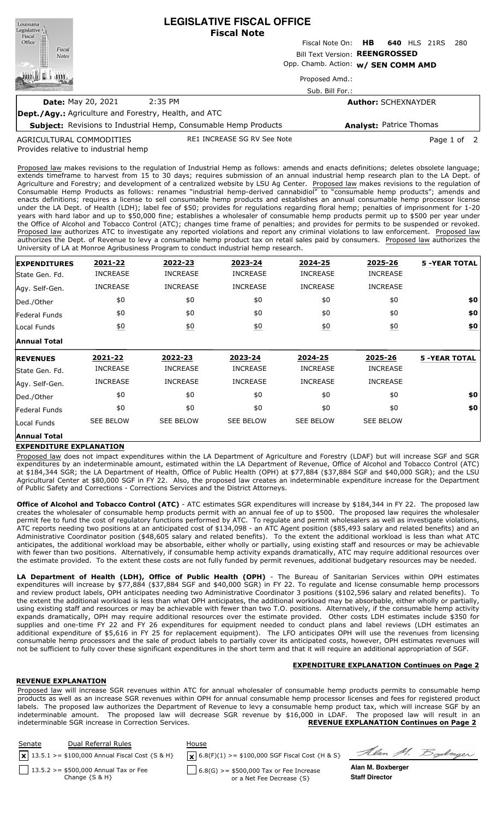| Louisiana<br>Legislative <sup>1</sup> | <b>LEGISLATIVE FISCAL OFFICE</b><br><b>Fiscal Note</b>                 |                                                   |  |  |  |  |  |
|---------------------------------------|------------------------------------------------------------------------|---------------------------------------------------|--|--|--|--|--|
| Fiscal<br>Office                      |                                                                        | Fiscal Note On: <b>HB</b><br>640 HLS 21RS<br>-280 |  |  |  |  |  |
| Fiscal<br><b>Notes</b>                |                                                                        | Bill Text Version: REENGROSSED                    |  |  |  |  |  |
|                                       |                                                                        | Opp. Chamb. Action: w/ SEN COMM AMD               |  |  |  |  |  |
|                                       |                                                                        | Proposed Amd.:                                    |  |  |  |  |  |
|                                       |                                                                        | Sub. Bill For.:                                   |  |  |  |  |  |
|                                       | 2:35 PM<br><b>Date: May 20, 2021</b>                                   | <b>Author: SCHEXNAYDER</b>                        |  |  |  |  |  |
|                                       | <b>Dept./Agy.:</b> Agriculture and Forestry, Health, and ATC           |                                                   |  |  |  |  |  |
|                                       | <b>Subject:</b> Revisions to Industrial Hemp, Consumable Hemp Products | <b>Analyst: Patrice Thomas</b>                    |  |  |  |  |  |

Provides relative to industrial hemp AGRICULTURAL COMMODITIES

Proposed law makes revisions to the regulation of Industrial Hemp as follows: amends and enacts definitions; deletes obsolete language; extends timeframe to harvest from 15 to 30 days; requires submission of an annual industrial hemp research plan to the LA Dept. of Agriculture and Forestry; and development of a centralized website by LSU Ag Center. Proposed law makes revisions to the regulation of Consumable Hemp Products as follows: renames "industrial hemp-derived cannabidiol" to "consumable hemp products"; amends and enacts definitions; requires a license to sell consumable hemp products and establishes an annual consumable hemp processor license under the LA Dept. of Health (LDH); label fee of \$50; provides for regulations regarding floral hemp; penalties of imprisonment for 1-20 years with hard labor and up to \$50,000 fine; establishes a wholesaler of consumable hemp products permit up to \$500 per year under the Office of Alcohol and Tobacco Control (ATC); changes time frame of penalties; and provides for permits to be suspended or revoked. Proposed law authorizes ATC to investigate any reported violations and report any criminal violations to law enforcement. Proposed law authorizes the Dept. of Revenue to levy a consumable hemp product tax on retail sales paid by consumers. Proposed law authorizes the University of LA at Monroe Agribusiness Program to conduct industrial hemp research.

RE1 INCREASE SG RV See Note **Page 1** of 2

| <b>EXPENDITURES</b> | 2021-22          | 2022-23          | 2023-24          | 2024-25          | 2025-26          | <b>5 -YEAR TOTAL</b> |
|---------------------|------------------|------------------|------------------|------------------|------------------|----------------------|
| State Gen. Fd.      | <b>INCREASE</b>  | <b>INCREASE</b>  | <b>INCREASE</b>  | <b>INCREASE</b>  | <b>INCREASE</b>  |                      |
| Agy. Self-Gen.      | <b>INCREASE</b>  | <b>INCREASE</b>  | <b>INCREASE</b>  | <b>INCREASE</b>  | <b>INCREASE</b>  |                      |
| Ded./Other          | \$0              | \$0              | \$0              | \$0              | \$0              | \$0                  |
| Federal Funds       | \$0              | \$0              | \$0              | \$0              | \$0              | \$0                  |
| Local Funds         | \$0              | $\underline{50}$ | \$0              | 60               | \$0              | \$0                  |
| <b>Annual Total</b> |                  |                  |                  |                  |                  |                      |
| <b>REVENUES</b>     | 2021-22          | 2022-23          | 2023-24          | 2024-25          | 2025-26          | <b>5 -YEAR TOTAL</b> |
| State Gen. Fd.      | <b>INCREASE</b>  | <b>INCREASE</b>  | <b>INCREASE</b>  | <b>INCREASE</b>  | <b>INCREASE</b>  |                      |
|                     |                  |                  |                  |                  |                  |                      |
| Agy. Self-Gen.      | <b>INCREASE</b>  | <b>INCREASE</b>  | <b>INCREASE</b>  | <b>INCREASE</b>  | <b>INCREASE</b>  |                      |
| Ded./Other          | \$0              | \$0              | \$0              | \$0              | \$0              | \$0                  |
| Federal Funds       | \$0              | \$0              | \$0              | \$0              | \$0              | \$0                  |
| Local Funds         | <b>SEE BELOW</b> | <b>SEE BELOW</b> | <b>SEE BELOW</b> | <b>SEE BELOW</b> | <b>SEE BELOW</b> |                      |

## **EXPENDITURE EXPLANATION**

Proposed law does not impact expenditures within the LA Department of Agriculture and Forestry (LDAF) but will increase SGF and SGR expenditures by an indeterminable amount, estimated within the LA Department of Revenue, Office of Alcohol and Tobacco Control (ATC) at \$184,344 SGR; the LA Department of Health, Office of Public Health (OPH) at \$77,884 (\$37,884 SGF and \$40,000 SGR); and the LSU Agricultural Center at \$80,000 SGF in FY 22. Also, the proposed law creates an indeterminable expenditure increase for the Department of Public Safety and Corrections - Corrections Services and the District Attorneys.

**Office of Alcohol and Tobacco Control (ATC)** - ATC estimates SGR expenditures will increase by \$184,344 in FY 22. The proposed law creates the wholesaler of consumable hemp products permit with an annual fee of up to \$500. The proposed law requires the wholesaler permit fee to fund the cost of regulatory functions performed by ATC. To regulate and permit wholesalers as well as investigate violations, ATC reports needing two positions at an anticipated cost of \$134,098 - an ATC Agent position (\$85,493 salary and related benefits) and an Administrative Coordinator position (\$48,605 salary and related benefits). To the extent the additional workload is less than what ATC anticipates, the additional workload may be absorbable, either wholly or partially, using existing staff and resources or may be achievable with fewer than two positions. Alternatively, if consumable hemp activity expands dramatically, ATC may require additional resources over the estimate provided. To the extent these costs are not fully funded by permit revenues, additional budgetary resources may be needed.

**LA Department of Health (LDH), Office of Public Health (OPH)** - The Bureau of Sanitarian Services within OPH estimates expenditures will increase by \$77,884 (\$37,884 SGF and \$40,000 SGR) in FY 22. To regulate and license consumable hemp processors and review product labels, OPH anticipates needing two Administrative Coordinator 3 positions (\$102,596 salary and related benefits). To the extent the additional workload is less than what OPH anticipates, the additional workload may be absorbable, either wholly or partially, using existing staff and resources or may be achievable with fewer than two T.O. positions. Alternatively, if the consumable hemp activity expands dramatically, OPH may require additional resources over the estimate provided. Other costs LDH estimates include \$350 for supplies and one-time FY 22 and FY 26 expenditures for equipment needed to conduct plans and label reviews (LDH estimates an additional expenditure of \$5,616 in FY 25 for replacement equipment). The LFO anticipates OPH will use the revenues from licensing consumable hemp processors and the sale of product labels to partially cover its anticipated costs, however, OPH estimates revenues will not be sufficient to fully cover these significant expenditures in the short term and that it will require an additional appropriation of SGF.

# **EXPENDITURE EXPLANATION Continues on Page 2**

### **REVENUE EXPLANATION**

Proposed law will increase SGR revenues within ATC for annual wholesaler of consumable hemp products permits to consumable hemp products as well as an increase SGR revenues within OPH for annual consumable hemp processor licenses and fees for registered product labels. The proposed law authorizes the Department of Revenue to levy a consumable hemp product tax, which will increase SGF by an indeterminable amount. The proposed law will decrease SGR revenue by \$16,000 in LDAF. The proposed law will result in an indeterminable SGR increase in Correction Services. **REVENUE EXPLANATION Continues on Page 2**

| Senate | Dual Referral Rules<br>$\mathbf{x}$ 13.5.1 > = \$100,000 Annual Fiscal Cost {S & H} | House<br>$\mathbf{X}$ 6.8(F)(1) >= \$100,000 SGF Fiscal Cost {H & S} | Alan M. Boderger      |
|--------|-------------------------------------------------------------------------------------|----------------------------------------------------------------------|-----------------------|
|        | $13.5.2 > = $500,000$ Annual Tax or Fee                                             | $6.8(G)$ >= \$500,000 Tax or Fee Increase                            | Alan M. Boxberger     |
|        | Change $\{S \& H\}$                                                                 | or a Net Fee Decrease {S}                                            | <b>Staff Director</b> |